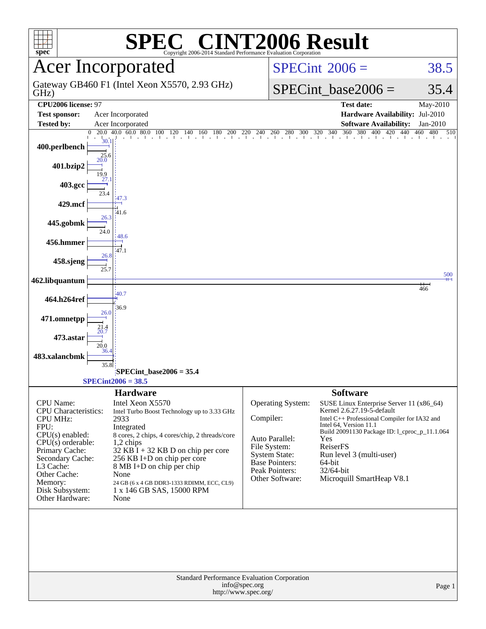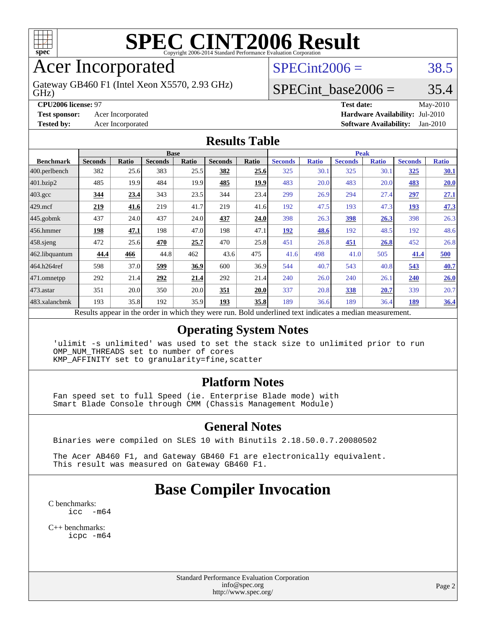

# Acer Incorporated

GHz) Gateway GB460 F1 (Intel Xeon X5570, 2.93 GHz)

 $SPECint2006 = 38.5$  $SPECint2006 = 38.5$ 

## SPECint base2006 =  $35.4$

#### **[CPU2006 license:](http://www.spec.org/auto/cpu2006/Docs/result-fields.html#CPU2006license)** 97 **[Test date:](http://www.spec.org/auto/cpu2006/Docs/result-fields.html#Testdate)** May-2010 **[Test sponsor:](http://www.spec.org/auto/cpu2006/Docs/result-fields.html#Testsponsor)** Acer Incorporated **[Hardware Availability:](http://www.spec.org/auto/cpu2006/Docs/result-fields.html#HardwareAvailability)** Jul-2010

**[Tested by:](http://www.spec.org/auto/cpu2006/Docs/result-fields.html#Testedby)** Acer Incorporated **[Software Availability:](http://www.spec.org/auto/cpu2006/Docs/result-fields.html#SoftwareAvailability)** Jan-2010

| <b>Results Table</b> |                                                                                                          |       |                |       |                |       |                |              |                |              |                |              |  |
|----------------------|----------------------------------------------------------------------------------------------------------|-------|----------------|-------|----------------|-------|----------------|--------------|----------------|--------------|----------------|--------------|--|
|                      | <b>Base</b>                                                                                              |       |                |       |                |       |                | <b>Peak</b>  |                |              |                |              |  |
| <b>Benchmark</b>     | <b>Seconds</b>                                                                                           | Ratio | <b>Seconds</b> | Ratio | <b>Seconds</b> | Ratio | <b>Seconds</b> | <b>Ratio</b> | <b>Seconds</b> | <b>Ratio</b> | <b>Seconds</b> | <b>Ratio</b> |  |
| 400.perlbench        | 382                                                                                                      | 25.6  | 383            | 25.5  | 382            | 25.6  | 325            | 30.1         | 325            | 30.1         | <u>325</u>     | <u>30.1</u>  |  |
| 401.bzip2            | 485                                                                                                      | 19.9  | 484            | 19.9  | 485            | 19.9  | 483            | 20.0         | 483            | 20.0         | <u>483</u>     | 20.0         |  |
| $403.\mathrm{gcc}$   | 344                                                                                                      | 23.4  | 343            | 23.5  | 344            | 23.4  | 299            | 26.9         | 294            | 27.4         | 297            | 27.1         |  |
| $429$ mcf            | 219                                                                                                      | 41.6  | 219            | 41.7  | 219            | 41.6  | 192            | 47.5         | 193            | 47.3         | 193            | 47.3         |  |
| $445$ .gobmk         | 437                                                                                                      | 24.0  | 437            | 24.0  | <u>437</u>     | 24.0  | 398            | 26.3         | 398            | 26.3         | 398            | 26.3         |  |
| 456.hmmer            | 198                                                                                                      | 47.1  | 198            | 47.0  | 198            | 47.1  | <u>192</u>     | 48.6         | 192            | 48.5         | 192            | 48.6         |  |
| $458$ sjeng          | 472                                                                                                      | 25.6  | 470            | 25.7  | 470            | 25.8  | 451            | 26.8         | 451            | 26.8         | 452            | 26.8         |  |
| 462.libquantum       | 44.4                                                                                                     | 466   | 44.8           | 462   | 43.6           | 475   | 41.6           | 498          | 41.0           | 505          | 41.4           | <b>500</b>   |  |
| 464.h264ref          | 598                                                                                                      | 37.0  | 599            | 36.9  | 600            | 36.9  | 544            | 40.7         | 543            | 40.8         | 543            | 40.7         |  |
| $471$ .omnetpp       | 292                                                                                                      | 21.4  | 292            | 21.4  | 292            | 21.4  | 240            | 26.0         | 240            | 26.1         | 240            | 26.0         |  |
| $ 473$ . astar       | 351                                                                                                      | 20.0  | 350            | 20.0  | 351            | 20.0  | 337            | 20.8         | 338            | 20.7         | 339            | 20.7         |  |
| 483.xalancbmk        | 193                                                                                                      | 35.8  | 192            | 35.9  | 193            | 35.8  | 189            | 36.6         | 189            | 36.4         | <u>189</u>     | 36.4         |  |
|                      | Results appear in the order in which they were run. Bold underlined text indicates a median measurement. |       |                |       |                |       |                |              |                |              |                |              |  |

#### **[Operating System Notes](http://www.spec.org/auto/cpu2006/Docs/result-fields.html#OperatingSystemNotes)**

 'ulimit -s unlimited' was used to set the stack size to unlimited prior to run OMP\_NUM\_THREADS set to number of cores KMP\_AFFINITY set to granularity=fine,scatter

#### **[Platform Notes](http://www.spec.org/auto/cpu2006/Docs/result-fields.html#PlatformNotes)**

 Fan speed set to full Speed (ie. Enterprise Blade mode) with Smart Blade Console through CMM (Chassis Management Module)

#### **[General Notes](http://www.spec.org/auto/cpu2006/Docs/result-fields.html#GeneralNotes)**

Binaries were compiled on SLES 10 with Binutils 2.18.50.0.7.20080502

 The Acer AB460 F1, and Gateway GB460 F1 are electronically equivalent. This result was measured on Gateway GB460 F1.

# **[Base Compiler Invocation](http://www.spec.org/auto/cpu2006/Docs/result-fields.html#BaseCompilerInvocation)**

[C benchmarks](http://www.spec.org/auto/cpu2006/Docs/result-fields.html#Cbenchmarks): [icc -m64](http://www.spec.org/cpu2006/results/res2010q3/cpu2006-20100608-11643.flags.html#user_CCbase_intel_icc_64bit_f346026e86af2a669e726fe758c88044)

[C++ benchmarks:](http://www.spec.org/auto/cpu2006/Docs/result-fields.html#CXXbenchmarks) [icpc -m64](http://www.spec.org/cpu2006/results/res2010q3/cpu2006-20100608-11643.flags.html#user_CXXbase_intel_icpc_64bit_fc66a5337ce925472a5c54ad6a0de310)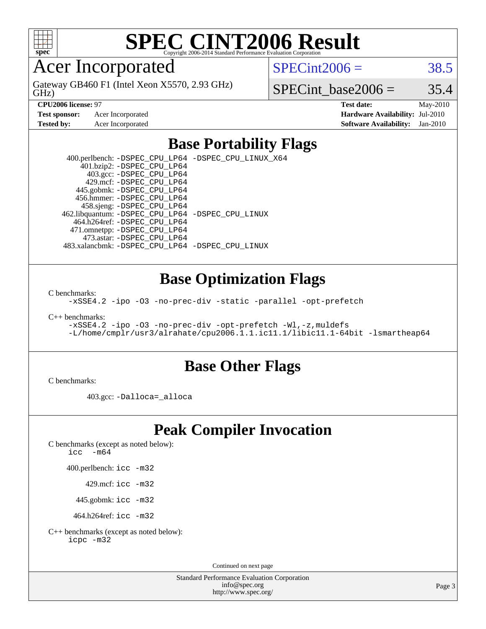

# Acer Incorporated

GHz) Gateway GB460 F1 (Intel Xeon X5570, 2.93 GHz)  $SPECint2006 = 38.5$  $SPECint2006 = 38.5$ 

SPECint base2006 =  $35.4$ 

**[CPU2006 license:](http://www.spec.org/auto/cpu2006/Docs/result-fields.html#CPU2006license)** 97 **[Test date:](http://www.spec.org/auto/cpu2006/Docs/result-fields.html#Testdate)** May-2010 **[Test sponsor:](http://www.spec.org/auto/cpu2006/Docs/result-fields.html#Testsponsor)** Acer Incorporated **[Hardware Availability:](http://www.spec.org/auto/cpu2006/Docs/result-fields.html#HardwareAvailability)** Jul-2010 **[Tested by:](http://www.spec.org/auto/cpu2006/Docs/result-fields.html#Testedby)** Acer Incorporated **[Software Availability:](http://www.spec.org/auto/cpu2006/Docs/result-fields.html#SoftwareAvailability)** Jan-2010

## **[Base Portability Flags](http://www.spec.org/auto/cpu2006/Docs/result-fields.html#BasePortabilityFlags)**

 400.perlbench: [-DSPEC\\_CPU\\_LP64](http://www.spec.org/cpu2006/results/res2010q3/cpu2006-20100608-11643.flags.html#b400.perlbench_basePORTABILITY_DSPEC_CPU_LP64) [-DSPEC\\_CPU\\_LINUX\\_X64](http://www.spec.org/cpu2006/results/res2010q3/cpu2006-20100608-11643.flags.html#b400.perlbench_baseCPORTABILITY_DSPEC_CPU_LINUX_X64) 401.bzip2: [-DSPEC\\_CPU\\_LP64](http://www.spec.org/cpu2006/results/res2010q3/cpu2006-20100608-11643.flags.html#suite_basePORTABILITY401_bzip2_DSPEC_CPU_LP64) 403.gcc: [-DSPEC\\_CPU\\_LP64](http://www.spec.org/cpu2006/results/res2010q3/cpu2006-20100608-11643.flags.html#suite_basePORTABILITY403_gcc_DSPEC_CPU_LP64) 429.mcf: [-DSPEC\\_CPU\\_LP64](http://www.spec.org/cpu2006/results/res2010q3/cpu2006-20100608-11643.flags.html#suite_basePORTABILITY429_mcf_DSPEC_CPU_LP64) 445.gobmk: [-DSPEC\\_CPU\\_LP64](http://www.spec.org/cpu2006/results/res2010q3/cpu2006-20100608-11643.flags.html#suite_basePORTABILITY445_gobmk_DSPEC_CPU_LP64) 456.hmmer: [-DSPEC\\_CPU\\_LP64](http://www.spec.org/cpu2006/results/res2010q3/cpu2006-20100608-11643.flags.html#suite_basePORTABILITY456_hmmer_DSPEC_CPU_LP64) 458.sjeng: [-DSPEC\\_CPU\\_LP64](http://www.spec.org/cpu2006/results/res2010q3/cpu2006-20100608-11643.flags.html#suite_basePORTABILITY458_sjeng_DSPEC_CPU_LP64) 462.libquantum: [-DSPEC\\_CPU\\_LP64](http://www.spec.org/cpu2006/results/res2010q3/cpu2006-20100608-11643.flags.html#suite_basePORTABILITY462_libquantum_DSPEC_CPU_LP64) [-DSPEC\\_CPU\\_LINUX](http://www.spec.org/cpu2006/results/res2010q3/cpu2006-20100608-11643.flags.html#b462.libquantum_baseCPORTABILITY_DSPEC_CPU_LINUX) 464.h264ref: [-DSPEC\\_CPU\\_LP64](http://www.spec.org/cpu2006/results/res2010q3/cpu2006-20100608-11643.flags.html#suite_basePORTABILITY464_h264ref_DSPEC_CPU_LP64) 471.omnetpp: [-DSPEC\\_CPU\\_LP64](http://www.spec.org/cpu2006/results/res2010q3/cpu2006-20100608-11643.flags.html#suite_basePORTABILITY471_omnetpp_DSPEC_CPU_LP64) 473.astar: [-DSPEC\\_CPU\\_LP64](http://www.spec.org/cpu2006/results/res2010q3/cpu2006-20100608-11643.flags.html#suite_basePORTABILITY473_astar_DSPEC_CPU_LP64) 483.xalancbmk: [-DSPEC\\_CPU\\_LP64](http://www.spec.org/cpu2006/results/res2010q3/cpu2006-20100608-11643.flags.html#suite_basePORTABILITY483_xalancbmk_DSPEC_CPU_LP64) [-DSPEC\\_CPU\\_LINUX](http://www.spec.org/cpu2006/results/res2010q3/cpu2006-20100608-11643.flags.html#b483.xalancbmk_baseCXXPORTABILITY_DSPEC_CPU_LINUX)

### **[Base Optimization Flags](http://www.spec.org/auto/cpu2006/Docs/result-fields.html#BaseOptimizationFlags)**

[C benchmarks](http://www.spec.org/auto/cpu2006/Docs/result-fields.html#Cbenchmarks):

[-xSSE4.2](http://www.spec.org/cpu2006/results/res2010q3/cpu2006-20100608-11643.flags.html#user_CCbase_f-xSSE42_f91528193cf0b216347adb8b939d4107) [-ipo](http://www.spec.org/cpu2006/results/res2010q3/cpu2006-20100608-11643.flags.html#user_CCbase_f-ipo) [-O3](http://www.spec.org/cpu2006/results/res2010q3/cpu2006-20100608-11643.flags.html#user_CCbase_f-O3) [-no-prec-div](http://www.spec.org/cpu2006/results/res2010q3/cpu2006-20100608-11643.flags.html#user_CCbase_f-no-prec-div) [-static](http://www.spec.org/cpu2006/results/res2010q3/cpu2006-20100608-11643.flags.html#user_CCbase_f-static) [-parallel](http://www.spec.org/cpu2006/results/res2010q3/cpu2006-20100608-11643.flags.html#user_CCbase_f-parallel) [-opt-prefetch](http://www.spec.org/cpu2006/results/res2010q3/cpu2006-20100608-11643.flags.html#user_CCbase_f-opt-prefetch)

[C++ benchmarks:](http://www.spec.org/auto/cpu2006/Docs/result-fields.html#CXXbenchmarks)

[-xSSE4.2](http://www.spec.org/cpu2006/results/res2010q3/cpu2006-20100608-11643.flags.html#user_CXXbase_f-xSSE42_f91528193cf0b216347adb8b939d4107) [-ipo](http://www.spec.org/cpu2006/results/res2010q3/cpu2006-20100608-11643.flags.html#user_CXXbase_f-ipo) [-O3](http://www.spec.org/cpu2006/results/res2010q3/cpu2006-20100608-11643.flags.html#user_CXXbase_f-O3) [-no-prec-div](http://www.spec.org/cpu2006/results/res2010q3/cpu2006-20100608-11643.flags.html#user_CXXbase_f-no-prec-div) [-opt-prefetch](http://www.spec.org/cpu2006/results/res2010q3/cpu2006-20100608-11643.flags.html#user_CXXbase_f-opt-prefetch) [-Wl,-z,muldefs](http://www.spec.org/cpu2006/results/res2010q3/cpu2006-20100608-11643.flags.html#user_CXXbase_link_force_multiple1_74079c344b956b9658436fd1b6dd3a8a) [-L/home/cmplr/usr3/alrahate/cpu2006.1.1.ic11.1/libic11.1-64bit -lsmartheap64](http://www.spec.org/cpu2006/results/res2010q3/cpu2006-20100608-11643.flags.html#user_CXXbase_SmartHeap64_e2306cda84805d1ab360117a79ff779c)

### **[Base Other Flags](http://www.spec.org/auto/cpu2006/Docs/result-fields.html#BaseOtherFlags)**

[C benchmarks](http://www.spec.org/auto/cpu2006/Docs/result-fields.html#Cbenchmarks):

403.gcc: [-Dalloca=\\_alloca](http://www.spec.org/cpu2006/results/res2010q3/cpu2006-20100608-11643.flags.html#b403.gcc_baseEXTRA_CFLAGS_Dalloca_be3056838c12de2578596ca5467af7f3)

# **[Peak Compiler Invocation](http://www.spec.org/auto/cpu2006/Docs/result-fields.html#PeakCompilerInvocation)**

[C benchmarks \(except as noted below\)](http://www.spec.org/auto/cpu2006/Docs/result-fields.html#Cbenchmarksexceptasnotedbelow):

[icc -m64](http://www.spec.org/cpu2006/results/res2010q3/cpu2006-20100608-11643.flags.html#user_CCpeak_intel_icc_64bit_f346026e86af2a669e726fe758c88044)

400.perlbench: [icc -m32](http://www.spec.org/cpu2006/results/res2010q3/cpu2006-20100608-11643.flags.html#user_peakCCLD400_perlbench_intel_icc_32bit_a6a621f8d50482236b970c6ac5f55f93)

429.mcf: [icc -m32](http://www.spec.org/cpu2006/results/res2010q3/cpu2006-20100608-11643.flags.html#user_peakCCLD429_mcf_intel_icc_32bit_a6a621f8d50482236b970c6ac5f55f93)

445.gobmk: [icc -m32](http://www.spec.org/cpu2006/results/res2010q3/cpu2006-20100608-11643.flags.html#user_peakCCLD445_gobmk_intel_icc_32bit_a6a621f8d50482236b970c6ac5f55f93)

464.h264ref: [icc -m32](http://www.spec.org/cpu2006/results/res2010q3/cpu2006-20100608-11643.flags.html#user_peakCCLD464_h264ref_intel_icc_32bit_a6a621f8d50482236b970c6ac5f55f93)

[C++ benchmarks \(except as noted below\):](http://www.spec.org/auto/cpu2006/Docs/result-fields.html#CXXbenchmarksexceptasnotedbelow) [icpc -m32](http://www.spec.org/cpu2006/results/res2010q3/cpu2006-20100608-11643.flags.html#user_CXXpeak_intel_icpc_32bit_4e5a5ef1a53fd332b3c49e69c3330699)

Continued on next page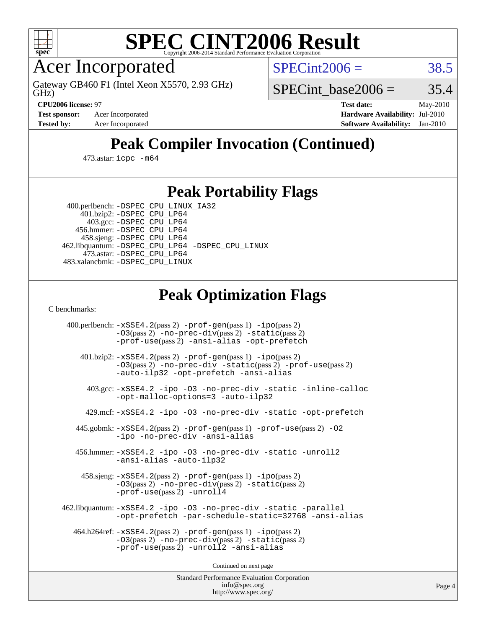

Acer Incorporated

GHz) Gateway GB460 F1 (Intel Xeon X5570, 2.93 GHz)  $SPECint2006 = 38.5$  $SPECint2006 = 38.5$ 

SPECint base2006 =  $35.4$ 

**[Test sponsor:](http://www.spec.org/auto/cpu2006/Docs/result-fields.html#Testsponsor)** Acer Incorporated **[Hardware Availability:](http://www.spec.org/auto/cpu2006/Docs/result-fields.html#HardwareAvailability)** Jul-2010

**[CPU2006 license:](http://www.spec.org/auto/cpu2006/Docs/result-fields.html#CPU2006license)** 97 **[Test date:](http://www.spec.org/auto/cpu2006/Docs/result-fields.html#Testdate)** May-2010 **[Tested by:](http://www.spec.org/auto/cpu2006/Docs/result-fields.html#Testedby)** Acer Incorporated **[Software Availability:](http://www.spec.org/auto/cpu2006/Docs/result-fields.html#SoftwareAvailability)** Jan-2010

# **[Peak Compiler Invocation \(Continued\)](http://www.spec.org/auto/cpu2006/Docs/result-fields.html#PeakCompilerInvocation)**

473.astar: [icpc -m64](http://www.spec.org/cpu2006/results/res2010q3/cpu2006-20100608-11643.flags.html#user_peakCXXLD473_astar_intel_icpc_64bit_fc66a5337ce925472a5c54ad6a0de310)

### **[Peak Portability Flags](http://www.spec.org/auto/cpu2006/Docs/result-fields.html#PeakPortabilityFlags)**

 400.perlbench: [-DSPEC\\_CPU\\_LINUX\\_IA32](http://www.spec.org/cpu2006/results/res2010q3/cpu2006-20100608-11643.flags.html#b400.perlbench_peakCPORTABILITY_DSPEC_CPU_LINUX_IA32) 401.bzip2: [-DSPEC\\_CPU\\_LP64](http://www.spec.org/cpu2006/results/res2010q3/cpu2006-20100608-11643.flags.html#suite_peakPORTABILITY401_bzip2_DSPEC_CPU_LP64)

 403.gcc: [-DSPEC\\_CPU\\_LP64](http://www.spec.org/cpu2006/results/res2010q3/cpu2006-20100608-11643.flags.html#suite_peakPORTABILITY403_gcc_DSPEC_CPU_LP64) 456.hmmer: [-DSPEC\\_CPU\\_LP64](http://www.spec.org/cpu2006/results/res2010q3/cpu2006-20100608-11643.flags.html#suite_peakPORTABILITY456_hmmer_DSPEC_CPU_LP64) 458.sjeng: [-DSPEC\\_CPU\\_LP64](http://www.spec.org/cpu2006/results/res2010q3/cpu2006-20100608-11643.flags.html#suite_peakPORTABILITY458_sjeng_DSPEC_CPU_LP64) 462.libquantum: [-DSPEC\\_CPU\\_LP64](http://www.spec.org/cpu2006/results/res2010q3/cpu2006-20100608-11643.flags.html#suite_peakPORTABILITY462_libquantum_DSPEC_CPU_LP64) [-DSPEC\\_CPU\\_LINUX](http://www.spec.org/cpu2006/results/res2010q3/cpu2006-20100608-11643.flags.html#b462.libquantum_peakCPORTABILITY_DSPEC_CPU_LINUX) 473.astar: [-DSPEC\\_CPU\\_LP64](http://www.spec.org/cpu2006/results/res2010q3/cpu2006-20100608-11643.flags.html#suite_peakPORTABILITY473_astar_DSPEC_CPU_LP64) 483.xalancbmk: [-DSPEC\\_CPU\\_LINUX](http://www.spec.org/cpu2006/results/res2010q3/cpu2006-20100608-11643.flags.html#b483.xalancbmk_peakCXXPORTABILITY_DSPEC_CPU_LINUX)

# **[Peak Optimization Flags](http://www.spec.org/auto/cpu2006/Docs/result-fields.html#PeakOptimizationFlags)**

[C benchmarks](http://www.spec.org/auto/cpu2006/Docs/result-fields.html#Cbenchmarks):

 400.perlbench: [-xSSE4.2](http://www.spec.org/cpu2006/results/res2010q3/cpu2006-20100608-11643.flags.html#user_peakPASS2_CFLAGSPASS2_LDCFLAGS400_perlbench_f-xSSE42_f91528193cf0b216347adb8b939d4107)(pass 2) [-prof-gen](http://www.spec.org/cpu2006/results/res2010q3/cpu2006-20100608-11643.flags.html#user_peakPASS1_CFLAGSPASS1_LDCFLAGS400_perlbench_prof_gen_e43856698f6ca7b7e442dfd80e94a8fc)(pass 1) [-ipo](http://www.spec.org/cpu2006/results/res2010q3/cpu2006-20100608-11643.flags.html#user_peakPASS2_CFLAGSPASS2_LDCFLAGS400_perlbench_f-ipo)(pass 2) [-O3](http://www.spec.org/cpu2006/results/res2010q3/cpu2006-20100608-11643.flags.html#user_peakPASS2_CFLAGSPASS2_LDCFLAGS400_perlbench_f-O3)(pass 2) [-no-prec-div](http://www.spec.org/cpu2006/results/res2010q3/cpu2006-20100608-11643.flags.html#user_peakPASS2_CFLAGSPASS2_LDCFLAGS400_perlbench_f-no-prec-div)(pass 2) [-static](http://www.spec.org/cpu2006/results/res2010q3/cpu2006-20100608-11643.flags.html#user_peakPASS2_CFLAGSPASS2_LDCFLAGS400_perlbench_f-static)(pass 2) [-prof-use](http://www.spec.org/cpu2006/results/res2010q3/cpu2006-20100608-11643.flags.html#user_peakPASS2_CFLAGSPASS2_LDCFLAGS400_perlbench_prof_use_bccf7792157ff70d64e32fe3e1250b55)(pass 2) [-ansi-alias](http://www.spec.org/cpu2006/results/res2010q3/cpu2006-20100608-11643.flags.html#user_peakCOPTIMIZE400_perlbench_f-ansi-alias) [-opt-prefetch](http://www.spec.org/cpu2006/results/res2010q3/cpu2006-20100608-11643.flags.html#user_peakCOPTIMIZE400_perlbench_f-opt-prefetch) 401.bzip2: [-xSSE4.2](http://www.spec.org/cpu2006/results/res2010q3/cpu2006-20100608-11643.flags.html#user_peakPASS2_CFLAGSPASS2_LDCFLAGS401_bzip2_f-xSSE42_f91528193cf0b216347adb8b939d4107)(pass 2) [-prof-gen](http://www.spec.org/cpu2006/results/res2010q3/cpu2006-20100608-11643.flags.html#user_peakPASS1_CFLAGSPASS1_LDCFLAGS401_bzip2_prof_gen_e43856698f6ca7b7e442dfd80e94a8fc)(pass 1) [-ipo](http://www.spec.org/cpu2006/results/res2010q3/cpu2006-20100608-11643.flags.html#user_peakPASS2_CFLAGSPASS2_LDCFLAGS401_bzip2_f-ipo)(pass 2) [-O3](http://www.spec.org/cpu2006/results/res2010q3/cpu2006-20100608-11643.flags.html#user_peakPASS2_CFLAGSPASS2_LDCFLAGS401_bzip2_f-O3)(pass 2) [-no-prec-div](http://www.spec.org/cpu2006/results/res2010q3/cpu2006-20100608-11643.flags.html#user_peakCOPTIMIZEPASS2_CFLAGSPASS2_LDCFLAGS401_bzip2_f-no-prec-div) [-static](http://www.spec.org/cpu2006/results/res2010q3/cpu2006-20100608-11643.flags.html#user_peakPASS2_CFLAGSPASS2_LDCFLAGS401_bzip2_f-static)(pass 2) [-prof-use](http://www.spec.org/cpu2006/results/res2010q3/cpu2006-20100608-11643.flags.html#user_peakPASS2_CFLAGSPASS2_LDCFLAGS401_bzip2_prof_use_bccf7792157ff70d64e32fe3e1250b55)(pass 2) [-auto-ilp32](http://www.spec.org/cpu2006/results/res2010q3/cpu2006-20100608-11643.flags.html#user_peakCOPTIMIZE401_bzip2_f-auto-ilp32) [-opt-prefetch](http://www.spec.org/cpu2006/results/res2010q3/cpu2006-20100608-11643.flags.html#user_peakCOPTIMIZE401_bzip2_f-opt-prefetch) [-ansi-alias](http://www.spec.org/cpu2006/results/res2010q3/cpu2006-20100608-11643.flags.html#user_peakCOPTIMIZE401_bzip2_f-ansi-alias) 403.gcc: [-xSSE4.2](http://www.spec.org/cpu2006/results/res2010q3/cpu2006-20100608-11643.flags.html#user_peakCOPTIMIZE403_gcc_f-xSSE42_f91528193cf0b216347adb8b939d4107) [-ipo](http://www.spec.org/cpu2006/results/res2010q3/cpu2006-20100608-11643.flags.html#user_peakCOPTIMIZE403_gcc_f-ipo) [-O3](http://www.spec.org/cpu2006/results/res2010q3/cpu2006-20100608-11643.flags.html#user_peakCOPTIMIZE403_gcc_f-O3) [-no-prec-div](http://www.spec.org/cpu2006/results/res2010q3/cpu2006-20100608-11643.flags.html#user_peakCOPTIMIZE403_gcc_f-no-prec-div) [-static](http://www.spec.org/cpu2006/results/res2010q3/cpu2006-20100608-11643.flags.html#user_peakCOPTIMIZE403_gcc_f-static) [-inline-calloc](http://www.spec.org/cpu2006/results/res2010q3/cpu2006-20100608-11643.flags.html#user_peakCOPTIMIZE403_gcc_f-inline-calloc) [-opt-malloc-options=3](http://www.spec.org/cpu2006/results/res2010q3/cpu2006-20100608-11643.flags.html#user_peakCOPTIMIZE403_gcc_f-opt-malloc-options_13ab9b803cf986b4ee62f0a5998c2238) [-auto-ilp32](http://www.spec.org/cpu2006/results/res2010q3/cpu2006-20100608-11643.flags.html#user_peakCOPTIMIZE403_gcc_f-auto-ilp32) 429.mcf: [-xSSE4.2](http://www.spec.org/cpu2006/results/res2010q3/cpu2006-20100608-11643.flags.html#user_peakCOPTIMIZE429_mcf_f-xSSE42_f91528193cf0b216347adb8b939d4107) [-ipo](http://www.spec.org/cpu2006/results/res2010q3/cpu2006-20100608-11643.flags.html#user_peakCOPTIMIZE429_mcf_f-ipo) [-O3](http://www.spec.org/cpu2006/results/res2010q3/cpu2006-20100608-11643.flags.html#user_peakCOPTIMIZE429_mcf_f-O3) [-no-prec-div](http://www.spec.org/cpu2006/results/res2010q3/cpu2006-20100608-11643.flags.html#user_peakCOPTIMIZE429_mcf_f-no-prec-div) [-static](http://www.spec.org/cpu2006/results/res2010q3/cpu2006-20100608-11643.flags.html#user_peakCOPTIMIZE429_mcf_f-static) [-opt-prefetch](http://www.spec.org/cpu2006/results/res2010q3/cpu2006-20100608-11643.flags.html#user_peakCOPTIMIZE429_mcf_f-opt-prefetch) 445.gobmk: [-xSSE4.2](http://www.spec.org/cpu2006/results/res2010q3/cpu2006-20100608-11643.flags.html#user_peakPASS2_CFLAGSPASS2_LDCFLAGS445_gobmk_f-xSSE42_f91528193cf0b216347adb8b939d4107)(pass 2) [-prof-gen](http://www.spec.org/cpu2006/results/res2010q3/cpu2006-20100608-11643.flags.html#user_peakPASS1_CFLAGSPASS1_LDCFLAGS445_gobmk_prof_gen_e43856698f6ca7b7e442dfd80e94a8fc)(pass 1) [-prof-use](http://www.spec.org/cpu2006/results/res2010q3/cpu2006-20100608-11643.flags.html#user_peakPASS2_CFLAGSPASS2_LDCFLAGS445_gobmk_prof_use_bccf7792157ff70d64e32fe3e1250b55)(pass 2) [-O2](http://www.spec.org/cpu2006/results/res2010q3/cpu2006-20100608-11643.flags.html#user_peakCOPTIMIZE445_gobmk_f-O2) [-ipo](http://www.spec.org/cpu2006/results/res2010q3/cpu2006-20100608-11643.flags.html#user_peakCOPTIMIZE445_gobmk_f-ipo) [-no-prec-div](http://www.spec.org/cpu2006/results/res2010q3/cpu2006-20100608-11643.flags.html#user_peakCOPTIMIZE445_gobmk_f-no-prec-div) [-ansi-alias](http://www.spec.org/cpu2006/results/res2010q3/cpu2006-20100608-11643.flags.html#user_peakCOPTIMIZE445_gobmk_f-ansi-alias) 456.hmmer: [-xSSE4.2](http://www.spec.org/cpu2006/results/res2010q3/cpu2006-20100608-11643.flags.html#user_peakCOPTIMIZE456_hmmer_f-xSSE42_f91528193cf0b216347adb8b939d4107) [-ipo](http://www.spec.org/cpu2006/results/res2010q3/cpu2006-20100608-11643.flags.html#user_peakCOPTIMIZE456_hmmer_f-ipo) [-O3](http://www.spec.org/cpu2006/results/res2010q3/cpu2006-20100608-11643.flags.html#user_peakCOPTIMIZE456_hmmer_f-O3) [-no-prec-div](http://www.spec.org/cpu2006/results/res2010q3/cpu2006-20100608-11643.flags.html#user_peakCOPTIMIZE456_hmmer_f-no-prec-div) [-static](http://www.spec.org/cpu2006/results/res2010q3/cpu2006-20100608-11643.flags.html#user_peakCOPTIMIZE456_hmmer_f-static) [-unroll2](http://www.spec.org/cpu2006/results/res2010q3/cpu2006-20100608-11643.flags.html#user_peakCOPTIMIZE456_hmmer_f-unroll_784dae83bebfb236979b41d2422d7ec2) [-ansi-alias](http://www.spec.org/cpu2006/results/res2010q3/cpu2006-20100608-11643.flags.html#user_peakCOPTIMIZE456_hmmer_f-ansi-alias) [-auto-ilp32](http://www.spec.org/cpu2006/results/res2010q3/cpu2006-20100608-11643.flags.html#user_peakCOPTIMIZE456_hmmer_f-auto-ilp32) 458.sjeng: [-xSSE4.2](http://www.spec.org/cpu2006/results/res2010q3/cpu2006-20100608-11643.flags.html#user_peakPASS2_CFLAGSPASS2_LDCFLAGS458_sjeng_f-xSSE42_f91528193cf0b216347adb8b939d4107)(pass 2) [-prof-gen](http://www.spec.org/cpu2006/results/res2010q3/cpu2006-20100608-11643.flags.html#user_peakPASS1_CFLAGSPASS1_LDCFLAGS458_sjeng_prof_gen_e43856698f6ca7b7e442dfd80e94a8fc)(pass 1) [-ipo](http://www.spec.org/cpu2006/results/res2010q3/cpu2006-20100608-11643.flags.html#user_peakPASS2_CFLAGSPASS2_LDCFLAGS458_sjeng_f-ipo)(pass 2) [-O3](http://www.spec.org/cpu2006/results/res2010q3/cpu2006-20100608-11643.flags.html#user_peakPASS2_CFLAGSPASS2_LDCFLAGS458_sjeng_f-O3)(pass 2) [-no-prec-div](http://www.spec.org/cpu2006/results/res2010q3/cpu2006-20100608-11643.flags.html#user_peakPASS2_CFLAGSPASS2_LDCFLAGS458_sjeng_f-no-prec-div)(pass 2) [-static](http://www.spec.org/cpu2006/results/res2010q3/cpu2006-20100608-11643.flags.html#user_peakPASS2_CFLAGSPASS2_LDCFLAGS458_sjeng_f-static)(pass 2) [-prof-use](http://www.spec.org/cpu2006/results/res2010q3/cpu2006-20100608-11643.flags.html#user_peakPASS2_CFLAGSPASS2_LDCFLAGS458_sjeng_prof_use_bccf7792157ff70d64e32fe3e1250b55)(pass 2) [-unroll4](http://www.spec.org/cpu2006/results/res2010q3/cpu2006-20100608-11643.flags.html#user_peakCOPTIMIZE458_sjeng_f-unroll_4e5e4ed65b7fd20bdcd365bec371b81f) 462.libquantum: [-xSSE4.2](http://www.spec.org/cpu2006/results/res2010q3/cpu2006-20100608-11643.flags.html#user_peakCOPTIMIZE462_libquantum_f-xSSE42_f91528193cf0b216347adb8b939d4107) [-ipo](http://www.spec.org/cpu2006/results/res2010q3/cpu2006-20100608-11643.flags.html#user_peakCOPTIMIZE462_libquantum_f-ipo) [-O3](http://www.spec.org/cpu2006/results/res2010q3/cpu2006-20100608-11643.flags.html#user_peakCOPTIMIZE462_libquantum_f-O3) [-no-prec-div](http://www.spec.org/cpu2006/results/res2010q3/cpu2006-20100608-11643.flags.html#user_peakCOPTIMIZE462_libquantum_f-no-prec-div) [-static](http://www.spec.org/cpu2006/results/res2010q3/cpu2006-20100608-11643.flags.html#user_peakCOPTIMIZE462_libquantum_f-static) [-parallel](http://www.spec.org/cpu2006/results/res2010q3/cpu2006-20100608-11643.flags.html#user_peakCOPTIMIZE462_libquantum_f-parallel) [-opt-prefetch](http://www.spec.org/cpu2006/results/res2010q3/cpu2006-20100608-11643.flags.html#user_peakCOPTIMIZE462_libquantum_f-opt-prefetch) [-par-schedule-static=32768](http://www.spec.org/cpu2006/results/res2010q3/cpu2006-20100608-11643.flags.html#user_peakCOPTIMIZE462_libquantum_f-par-schedule_9386bcd99ba64e99ee01d1aafefddd14) [-ansi-alias](http://www.spec.org/cpu2006/results/res2010q3/cpu2006-20100608-11643.flags.html#user_peakCOPTIMIZE462_libquantum_f-ansi-alias) 464.h264ref: [-xSSE4.2](http://www.spec.org/cpu2006/results/res2010q3/cpu2006-20100608-11643.flags.html#user_peakPASS2_CFLAGSPASS2_LDCFLAGS464_h264ref_f-xSSE42_f91528193cf0b216347adb8b939d4107)(pass 2) [-prof-gen](http://www.spec.org/cpu2006/results/res2010q3/cpu2006-20100608-11643.flags.html#user_peakPASS1_CFLAGSPASS1_LDCFLAGS464_h264ref_prof_gen_e43856698f6ca7b7e442dfd80e94a8fc)(pass 1) [-ipo](http://www.spec.org/cpu2006/results/res2010q3/cpu2006-20100608-11643.flags.html#user_peakPASS2_CFLAGSPASS2_LDCFLAGS464_h264ref_f-ipo)(pass 2) [-O3](http://www.spec.org/cpu2006/results/res2010q3/cpu2006-20100608-11643.flags.html#user_peakPASS2_CFLAGSPASS2_LDCFLAGS464_h264ref_f-O3)(pass 2) [-no-prec-div](http://www.spec.org/cpu2006/results/res2010q3/cpu2006-20100608-11643.flags.html#user_peakPASS2_CFLAGSPASS2_LDCFLAGS464_h264ref_f-no-prec-div)(pass 2) [-static](http://www.spec.org/cpu2006/results/res2010q3/cpu2006-20100608-11643.flags.html#user_peakPASS2_CFLAGSPASS2_LDCFLAGS464_h264ref_f-static)(pass 2) [-prof-use](http://www.spec.org/cpu2006/results/res2010q3/cpu2006-20100608-11643.flags.html#user_peakPASS2_CFLAGSPASS2_LDCFLAGS464_h264ref_prof_use_bccf7792157ff70d64e32fe3e1250b55)(pass 2) [-unroll2](http://www.spec.org/cpu2006/results/res2010q3/cpu2006-20100608-11643.flags.html#user_peakCOPTIMIZE464_h264ref_f-unroll_784dae83bebfb236979b41d2422d7ec2) [-ansi-alias](http://www.spec.org/cpu2006/results/res2010q3/cpu2006-20100608-11643.flags.html#user_peakCOPTIMIZE464_h264ref_f-ansi-alias)

Continued on next page